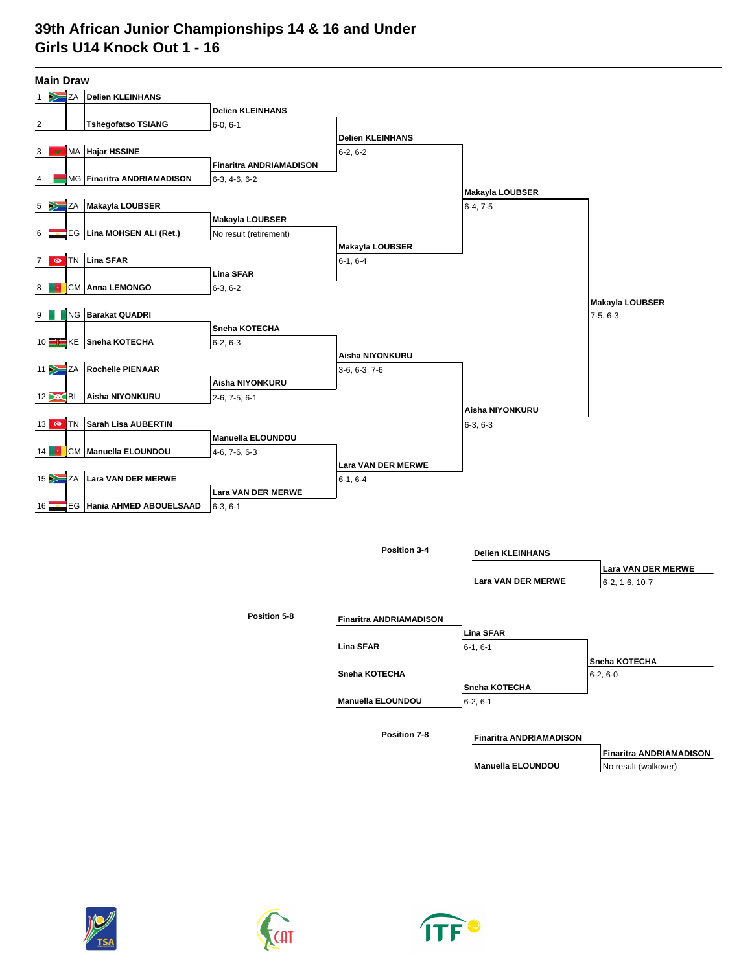## **39th African Junior Championships 14 & 16 and Under Girls U14 Knock Out 1 - 16**

| <b>Main Draw</b>                  |                              |                                |                                |                                |                                |  |  |  |  |  |
|-----------------------------------|------------------------------|--------------------------------|--------------------------------|--------------------------------|--------------------------------|--|--|--|--|--|
| ΖA<br>1                           | <b>Delien KLEINHANS</b>      |                                |                                |                                |                                |  |  |  |  |  |
|                                   |                              | <b>Delien KLEINHANS</b>        |                                |                                |                                |  |  |  |  |  |
| $\overline{c}$                    | <b>Tshegofatso TSIANG</b>    | $6-0, 6-1$                     |                                |                                |                                |  |  |  |  |  |
|                                   |                              |                                | <b>Delien KLEINHANS</b>        |                                |                                |  |  |  |  |  |
| MA Hajar HSSINE<br>3<br>×         |                              |                                | $6-2, 6-2$                     |                                |                                |  |  |  |  |  |
|                                   |                              | <b>Finaritra ANDRIAMADISON</b> |                                |                                |                                |  |  |  |  |  |
| 4                                 | MG   Finaritra ANDRIAMADISON | $6-3, 4-6, 6-2$                |                                |                                |                                |  |  |  |  |  |
|                                   |                              |                                |                                | <b>Makayla LOUBSER</b>         |                                |  |  |  |  |  |
| ΖA<br>5                           | Makayla LOUBSER              |                                |                                | $6-4, 7-5$                     |                                |  |  |  |  |  |
|                                   |                              | Makayla LOUBSER                |                                |                                |                                |  |  |  |  |  |
| EG<br>6                           | Lina MOHSEN ALI (Ret.)       | No result (retirement)         |                                |                                |                                |  |  |  |  |  |
|                                   |                              |                                | Makayla LOUBSER                |                                |                                |  |  |  |  |  |
| Lina SFAR<br>TN<br>$\bullet$<br>7 |                              |                                | $6-1, 6-4$                     |                                |                                |  |  |  |  |  |
|                                   |                              | <b>Lina SFAR</b>               |                                |                                |                                |  |  |  |  |  |
| CM Anna LEMONGO<br>8              |                              | $6-3, 6-2$                     |                                |                                |                                |  |  |  |  |  |
|                                   |                              |                                |                                |                                | <b>Makayla LOUBSER</b>         |  |  |  |  |  |
| NG<br>9                           | <b>Barakat QUADRI</b>        |                                |                                |                                | $7-5, 6-3$                     |  |  |  |  |  |
|                                   |                              | Sneha KOTECHA                  |                                |                                |                                |  |  |  |  |  |
| KE<br>10 I                        | Sneha KOTECHA                | $6-2, 6-3$                     |                                |                                |                                |  |  |  |  |  |
|                                   |                              |                                | Aisha NIYONKURU                |                                |                                |  |  |  |  |  |
| ΖA<br>11                          | <b>Rochelle PIENAAR</b>      |                                | 3-6, 6-3, 7-6                  |                                |                                |  |  |  |  |  |
|                                   |                              | Aisha NIYONKURU                |                                |                                |                                |  |  |  |  |  |
| BI<br>12 <sup>1</sup>             | Aisha NIYONKURU              | $2-6, 7-5, 6-1$                |                                |                                |                                |  |  |  |  |  |
|                                   |                              |                                |                                | Aisha NIYONKURU                |                                |  |  |  |  |  |
| <b>TN</b><br>$\bullet$<br>13      | Sarah Lisa AUBERTIN          |                                |                                | $6-3, 6-3$                     |                                |  |  |  |  |  |
|                                   |                              | Manuella ELOUNDOU              |                                |                                |                                |  |  |  |  |  |
| СM<br>14                          | Manuella ELOUNDOU            | 4-6, 7-6, 6-3                  |                                |                                |                                |  |  |  |  |  |
| 15P<br>ΖA                         | Lara VAN DER MERWE           |                                | Lara VAN DER MERWE             |                                |                                |  |  |  |  |  |
|                                   |                              | Lara VAN DER MERWE             | $6-1, 6-4$                     |                                |                                |  |  |  |  |  |
| EG<br>16                          | Hania AHMED ABOUELSAAD       | $6-3, 6-1$                     |                                |                                |                                |  |  |  |  |  |
|                                   |                              |                                |                                |                                |                                |  |  |  |  |  |
|                                   |                              |                                |                                |                                |                                |  |  |  |  |  |
|                                   |                              |                                |                                |                                |                                |  |  |  |  |  |
|                                   |                              |                                | Position 3-4                   | <b>Delien KLEINHANS</b>        |                                |  |  |  |  |  |
|                                   |                              |                                |                                |                                | Lara VAN DER MERWE             |  |  |  |  |  |
|                                   |                              |                                |                                | Lara VAN DER MERWE             | 6-2, 1-6, 10-7                 |  |  |  |  |  |
|                                   |                              |                                |                                |                                |                                |  |  |  |  |  |
|                                   |                              | Position 5-8                   |                                |                                |                                |  |  |  |  |  |
|                                   |                              |                                | <b>Finaritra ANDRIAMADISON</b> |                                |                                |  |  |  |  |  |
|                                   |                              |                                |                                | <b>Lina SFAR</b>               |                                |  |  |  |  |  |
|                                   |                              |                                | Lina SFAR                      | $6-1, 6-1$                     |                                |  |  |  |  |  |
|                                   |                              |                                | Sneha KOTECHA                  |                                | Sneha KOTECHA                  |  |  |  |  |  |
|                                   |                              |                                |                                | Sneha KOTECHA                  | $6-2, 6-0$                     |  |  |  |  |  |
|                                   |                              |                                | <b>Manuella ELOUNDOU</b>       | $6-2, 6-1$                     |                                |  |  |  |  |  |
|                                   |                              |                                |                                |                                |                                |  |  |  |  |  |
|                                   |                              |                                |                                |                                |                                |  |  |  |  |  |
|                                   |                              |                                | Position 7-8                   | <b>Finaritra ANDRIAMADISON</b> |                                |  |  |  |  |  |
|                                   |                              |                                |                                |                                | <b>Finaritra ANDRIAMADISON</b> |  |  |  |  |  |
|                                   |                              |                                |                                | <b>Manuella ELOUNDOU</b>       | No result (walkover)           |  |  |  |  |  |





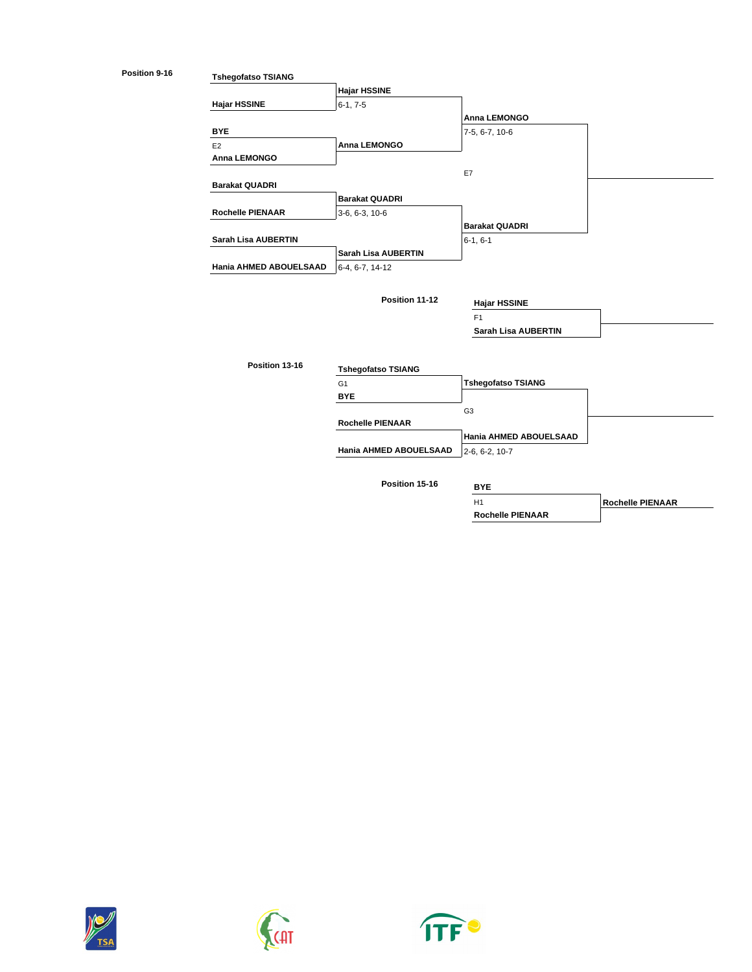

**Position 15-16**

H1 **Rochelle PIENAAR**







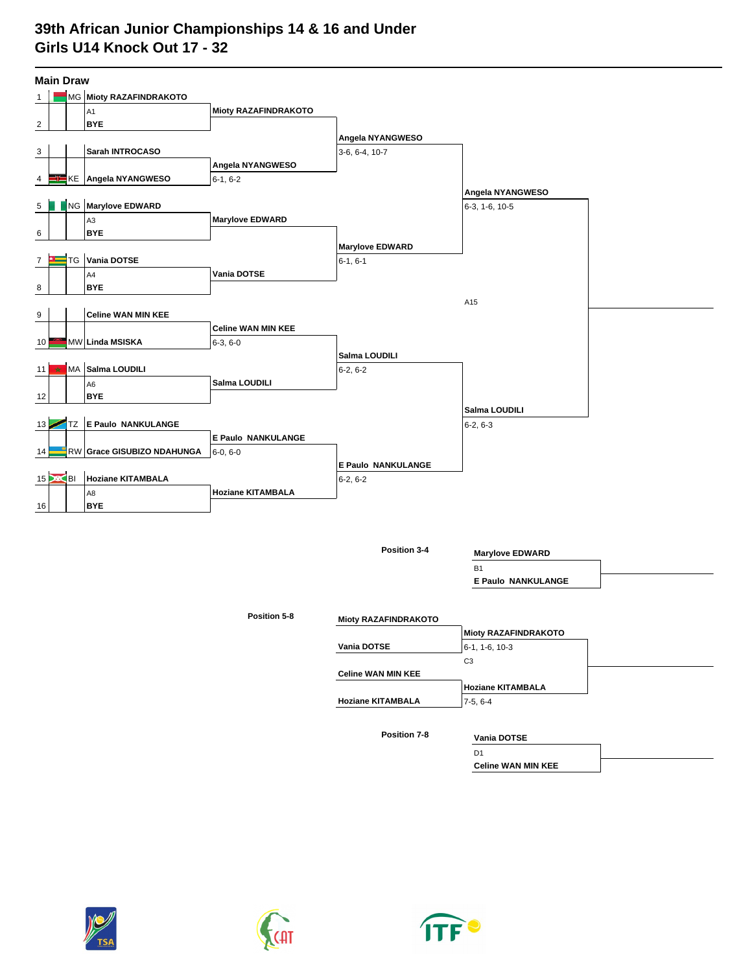## **39th African Junior Championships 14 & 16 and Under Girls U14 Knock Out 17 - 32**

| <b>Main Draw</b>        |                 |    |                              |                             |                           |                  |  |  |  |
|-------------------------|-----------------|----|------------------------------|-----------------------------|---------------------------|------------------|--|--|--|
| 1                       |                 |    | MG Mioty RAZAFINDRAKOTO      |                             |                           |                  |  |  |  |
|                         |                 |    | A <sub>1</sub>               | <b>Mioty RAZAFINDRAKOTO</b> |                           |                  |  |  |  |
| $\overline{\mathbf{c}}$ |                 |    | <b>BYE</b>                   |                             |                           |                  |  |  |  |
|                         |                 |    |                              |                             | Angela NYANGWESO          |                  |  |  |  |
| 3                       |                 |    | Sarah INTROCASO              |                             | 3-6, 6-4, 10-7            |                  |  |  |  |
|                         |                 |    |                              | Angela NYANGWESO            |                           |                  |  |  |  |
| 4                       |                 |    | KE Angela NYANGWESO          | $6-1, 6-2$                  |                           |                  |  |  |  |
|                         |                 |    |                              |                             |                           | Angela NYANGWESO |  |  |  |
| 5                       |                 |    | NG Marylove EDWARD           |                             |                           | 6-3, 1-6, 10-5   |  |  |  |
|                         |                 |    | A <sub>3</sub>               | <b>Marylove EDWARD</b>      |                           |                  |  |  |  |
| 6                       |                 |    | <b>BYE</b>                   |                             |                           |                  |  |  |  |
|                         |                 |    | <b>Marylove EDWARD</b>       |                             |                           |                  |  |  |  |
| 7                       |                 | TG | Vania DOTSE                  |                             | $6-1, 6-1$                |                  |  |  |  |
|                         |                 |    | A4                           | Vania DOTSE                 |                           |                  |  |  |  |
| 8                       |                 |    | <b>BYE</b>                   |                             |                           |                  |  |  |  |
|                         |                 |    |                              |                             |                           | A15              |  |  |  |
| 9                       |                 |    | <b>Celine WAN MIN KEE</b>    |                             |                           |                  |  |  |  |
|                         |                 |    |                              | <b>Celine WAN MIN KEE</b>   |                           |                  |  |  |  |
| 10                      |                 |    | MW Linda MSISKA              | $6-3, 6-0$                  | Salma LOUDILI             |                  |  |  |  |
|                         | ★               |    | MA Salma LOUDILI             |                             |                           |                  |  |  |  |
| 11                      |                 |    |                              | Salma LOUDILI               | $6-2, 6-2$                |                  |  |  |  |
| 12                      |                 |    | A <sub>6</sub><br><b>BYE</b> |                             |                           |                  |  |  |  |
|                         |                 |    |                              |                             |                           | Salma LOUDILI    |  |  |  |
| 13 <sub>1</sub>         |                 | TZ | <b>E Paulo NANKULANGE</b>    |                             |                           | $6-2, 6-3$       |  |  |  |
|                         |                 |    |                              | E Paulo NANKULANGE          |                           |                  |  |  |  |
| 14                      |                 |    | RW Grace GISUBIZO NDAHUNGA   | 6-0, 6-0                    |                           |                  |  |  |  |
|                         |                 |    |                              |                             | <b>E Paulo NANKULANGE</b> |                  |  |  |  |
|                         | $15$ $\infty$ B |    | <b>Hoziane KITAMBALA</b>     |                             | $6-2, 6-2$                |                  |  |  |  |
|                         |                 |    | A8                           | <b>Hoziane KITAMBALA</b>    |                           |                  |  |  |  |
| 16                      |                 |    | <b>BYE</b>                   |                             |                           |                  |  |  |  |
|                         |                 |    |                              |                             |                           |                  |  |  |  |
|                         |                 |    |                              |                             |                           |                  |  |  |  |

**Position 3-4**

B1 **Marylove EDWARD**

**E Paulo NANKULANGE**

**Mioty RAZAFINDRAKOTO Vania DOTSE** 6-1, 1-6, 10-3 **Celine WAN MIN KEE Hoziane KITAMBALA** 7-5, 6-4 C3 **Mioty RAZAFINDRAKOTO Hoziane KITAMBALA**

**Position 7-8**

## **Vania DOTSE**

D1 **Celine WAN MIN KEE**





**Position 5-8**